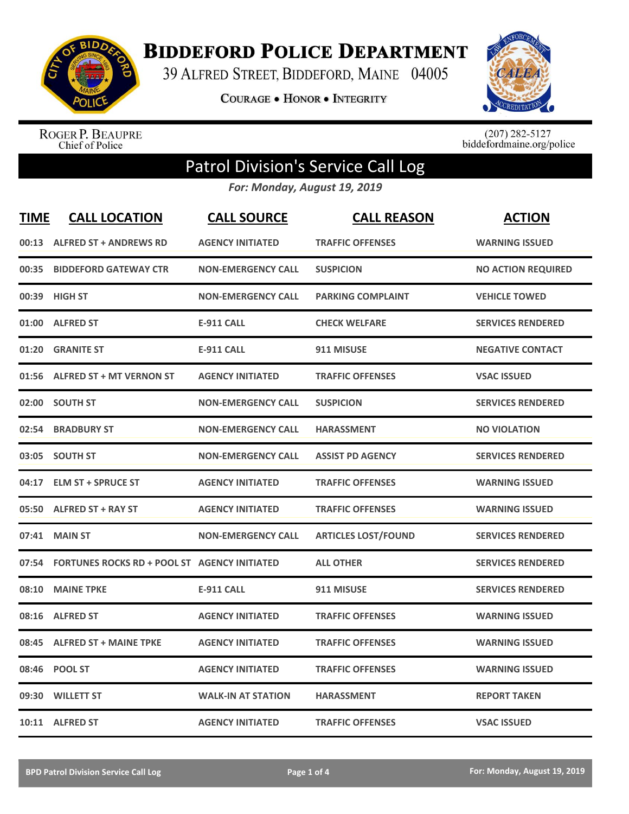

**BIDDEFORD POLICE DEPARTMENT** 

39 ALFRED STREET, BIDDEFORD, MAINE 04005

**COURAGE . HONOR . INTEGRITY** 



ROGER P. BEAUPRE<br>Chief of Police

 $(207)$  282-5127<br>biddefordmaine.org/police

## Patrol Division's Service Call Log

*For: Monday, August 19, 2019*

| <b>TIME</b> | <b>CALL LOCATION</b>                                | <b>CALL SOURCE</b>        | <b>CALL REASON</b>         | <b>ACTION</b>             |
|-------------|-----------------------------------------------------|---------------------------|----------------------------|---------------------------|
|             | 00:13 ALFRED ST + ANDREWS RD                        | <b>AGENCY INITIATED</b>   | <b>TRAFFIC OFFENSES</b>    | <b>WARNING ISSUED</b>     |
| 00:35       | <b>BIDDEFORD GATEWAY CTR</b>                        | <b>NON-EMERGENCY CALL</b> | <b>SUSPICION</b>           | <b>NO ACTION REQUIRED</b> |
| 00:39       | <b>HIGH ST</b>                                      | <b>NON-EMERGENCY CALL</b> | <b>PARKING COMPLAINT</b>   | <b>VEHICLE TOWED</b>      |
| 01:00       | <b>ALFRED ST</b>                                    | <b>E-911 CALL</b>         | <b>CHECK WELFARE</b>       | <b>SERVICES RENDERED</b>  |
| 01:20       | <b>GRANITE ST</b>                                   | <b>E-911 CALL</b>         | 911 MISUSE                 | <b>NEGATIVE CONTACT</b>   |
|             | 01:56 ALFRED ST + MT VERNON ST                      | <b>AGENCY INITIATED</b>   | <b>TRAFFIC OFFENSES</b>    | <b>VSAC ISSUED</b>        |
| 02:00       | <b>SOUTH ST</b>                                     | <b>NON-EMERGENCY CALL</b> | <b>SUSPICION</b>           | <b>SERVICES RENDERED</b>  |
| 02:54       | <b>BRADBURY ST</b>                                  | <b>NON-EMERGENCY CALL</b> | <b>HARASSMENT</b>          | <b>NO VIOLATION</b>       |
|             | 03:05 SOUTH ST                                      | <b>NON-EMERGENCY CALL</b> | <b>ASSIST PD AGENCY</b>    | <b>SERVICES RENDERED</b>  |
|             | 04:17 ELM ST + SPRUCE ST                            | <b>AGENCY INITIATED</b>   | <b>TRAFFIC OFFENSES</b>    | <b>WARNING ISSUED</b>     |
|             | 05:50 ALFRED ST + RAY ST                            | <b>AGENCY INITIATED</b>   | <b>TRAFFIC OFFENSES</b>    | <b>WARNING ISSUED</b>     |
| 07:41       | <b>MAIN ST</b>                                      | <b>NON-EMERGENCY CALL</b> | <b>ARTICLES LOST/FOUND</b> | <b>SERVICES RENDERED</b>  |
| 07:54       | <b>FORTUNES ROCKS RD + POOL ST AGENCY INITIATED</b> |                           | <b>ALL OTHER</b>           | <b>SERVICES RENDERED</b>  |
| 08:10       | <b>MAINE TPKE</b>                                   | <b>E-911 CALL</b>         | 911 MISUSE                 | <b>SERVICES RENDERED</b>  |
| 08:16       | <b>ALFRED ST</b>                                    | <b>AGENCY INITIATED</b>   | <b>TRAFFIC OFFENSES</b>    | <b>WARNING ISSUED</b>     |
| 08:45       | <b>ALFRED ST + MAINE TPKE</b>                       | <b>AGENCY INITIATED</b>   | <b>TRAFFIC OFFENSES</b>    | <b>WARNING ISSUED</b>     |
| 08:46       | <b>POOL ST</b>                                      | <b>AGENCY INITIATED</b>   | <b>TRAFFIC OFFENSES</b>    | <b>WARNING ISSUED</b>     |
| 09:30       | <b>WILLETT ST</b>                                   | <b>WALK-IN AT STATION</b> | <b>HARASSMENT</b>          | <b>REPORT TAKEN</b>       |
|             | 10:11 ALFRED ST                                     | <b>AGENCY INITIATED</b>   | <b>TRAFFIC OFFENSES</b>    | <b>VSAC ISSUED</b>        |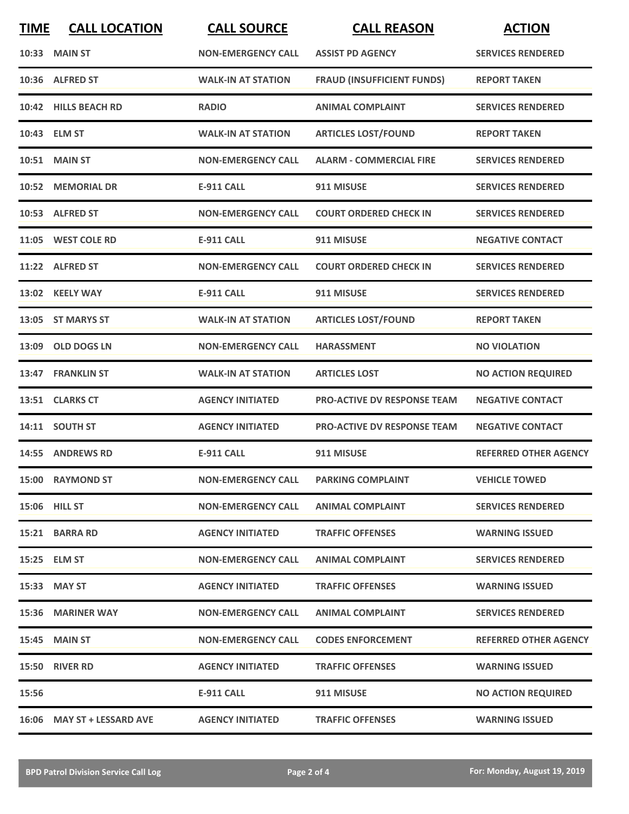| <b>TIME</b> | <b>CALL LOCATION</b>       | <b>CALL SOURCE</b>        | <b>CALL REASON</b>                 | <b>ACTION</b>                |
|-------------|----------------------------|---------------------------|------------------------------------|------------------------------|
|             | 10:33 MAIN ST              | <b>NON-EMERGENCY CALL</b> | <b>ASSIST PD AGENCY</b>            | <b>SERVICES RENDERED</b>     |
|             | 10:36 ALFRED ST            | <b>WALK-IN AT STATION</b> | <b>FRAUD (INSUFFICIENT FUNDS)</b>  | <b>REPORT TAKEN</b>          |
|             | 10:42 HILLS BEACH RD       | <b>RADIO</b>              | <b>ANIMAL COMPLAINT</b>            | <b>SERVICES RENDERED</b>     |
|             | 10:43 ELM ST               | <b>WALK-IN AT STATION</b> | <b>ARTICLES LOST/FOUND</b>         | <b>REPORT TAKEN</b>          |
|             | <b>10:51 MAIN ST</b>       | <b>NON-EMERGENCY CALL</b> | <b>ALARM - COMMERCIAL FIRE</b>     | <b>SERVICES RENDERED</b>     |
|             | 10:52 MEMORIAL DR          | <b>E-911 CALL</b>         | 911 MISUSE                         | <b>SERVICES RENDERED</b>     |
|             | 10:53 ALFRED ST            | <b>NON-EMERGENCY CALL</b> | <b>COURT ORDERED CHECK IN</b>      | <b>SERVICES RENDERED</b>     |
|             | 11:05 WEST COLE RD         | <b>E-911 CALL</b>         | 911 MISUSE                         | <b>NEGATIVE CONTACT</b>      |
|             | 11:22 ALFRED ST            | <b>NON-EMERGENCY CALL</b> | <b>COURT ORDERED CHECK IN</b>      | <b>SERVICES RENDERED</b>     |
|             | 13:02 KEELY WAY            | <b>E-911 CALL</b>         | 911 MISUSE                         | <b>SERVICES RENDERED</b>     |
|             | 13:05 ST MARYS ST          | <b>WALK-IN AT STATION</b> | <b>ARTICLES LOST/FOUND</b>         | <b>REPORT TAKEN</b>          |
| 13:09       | <b>OLD DOGS LN</b>         | <b>NON-EMERGENCY CALL</b> | <b>HARASSMENT</b>                  | <b>NO VIOLATION</b>          |
| 13:47       | <b>FRANKLIN ST</b>         | <b>WALK-IN AT STATION</b> | <b>ARTICLES LOST</b>               | <b>NO ACTION REQUIRED</b>    |
|             | 13:51 CLARKS CT            | <b>AGENCY INITIATED</b>   | <b>PRO-ACTIVE DV RESPONSE TEAM</b> | <b>NEGATIVE CONTACT</b>      |
|             | 14:11 SOUTH ST             | <b>AGENCY INITIATED</b>   | <b>PRO-ACTIVE DV RESPONSE TEAM</b> | <b>NEGATIVE CONTACT</b>      |
|             | 14:55 ANDREWS RD           | <b>E-911 CALL</b>         | 911 MISUSE                         | <b>REFERRED OTHER AGENCY</b> |
|             | 15:00 RAYMOND ST           | <b>NON-EMERGENCY CALL</b> | <b>PARKING COMPLAINT</b>           | <b>VEHICLE TOWED</b>         |
|             | 15:06 HILL ST              | <b>NON-EMERGENCY CALL</b> | <b>ANIMAL COMPLAINT</b>            | <b>SERVICES RENDERED</b>     |
|             | 15:21 BARRA RD             | <b>AGENCY INITIATED</b>   | <b>TRAFFIC OFFENSES</b>            | <b>WARNING ISSUED</b>        |
|             | 15:25 ELM ST               | <b>NON-EMERGENCY CALL</b> | <b>ANIMAL COMPLAINT</b>            | <b>SERVICES RENDERED</b>     |
|             | 15:33 MAY ST               | <b>AGENCY INITIATED</b>   | <b>TRAFFIC OFFENSES</b>            | <b>WARNING ISSUED</b>        |
|             | 15:36 MARINER WAY          | <b>NON-EMERGENCY CALL</b> | <b>ANIMAL COMPLAINT</b>            | <b>SERVICES RENDERED</b>     |
|             | <b>15:45 MAIN ST</b>       | <b>NON-EMERGENCY CALL</b> | <b>CODES ENFORCEMENT</b>           | <b>REFERRED OTHER AGENCY</b> |
|             | 15:50 RIVER RD             | <b>AGENCY INITIATED</b>   | <b>TRAFFIC OFFENSES</b>            | <b>WARNING ISSUED</b>        |
| 15:56       |                            | <b>E-911 CALL</b>         | 911 MISUSE                         | <b>NO ACTION REQUIRED</b>    |
|             | 16:06 MAY ST + LESSARD AVE | <b>AGENCY INITIATED</b>   | <b>TRAFFIC OFFENSES</b>            | <b>WARNING ISSUED</b>        |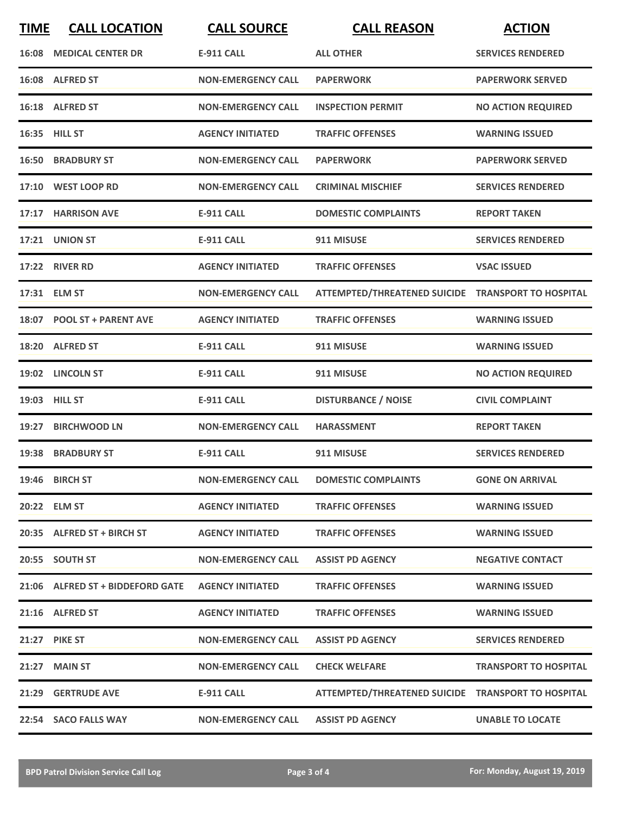| <b>TIME</b> | <b>CALL LOCATION</b>             | <b>CALL SOURCE</b>        | <b>CALL REASON</b>                                 | <b>ACTION</b>                |
|-------------|----------------------------------|---------------------------|----------------------------------------------------|------------------------------|
|             | <b>16:08 MEDICAL CENTER DR</b>   | <b>E-911 CALL</b>         | <b>ALL OTHER</b>                                   | <b>SERVICES RENDERED</b>     |
|             | 16:08 ALFRED ST                  | <b>NON-EMERGENCY CALL</b> | <b>PAPERWORK</b>                                   | <b>PAPERWORK SERVED</b>      |
|             | 16:18 ALFRED ST                  | <b>NON-EMERGENCY CALL</b> | <b>INSPECTION PERMIT</b>                           | <b>NO ACTION REQUIRED</b>    |
|             | 16:35 HILL ST                    | <b>AGENCY INITIATED</b>   | <b>TRAFFIC OFFENSES</b>                            | <b>WARNING ISSUED</b>        |
|             | <b>16:50 BRADBURY ST</b>         | <b>NON-EMERGENCY CALL</b> | <b>PAPERWORK</b>                                   | <b>PAPERWORK SERVED</b>      |
|             | 17:10 WEST LOOP RD               | <b>NON-EMERGENCY CALL</b> | <b>CRIMINAL MISCHIEF</b>                           | <b>SERVICES RENDERED</b>     |
|             | 17:17 HARRISON AVE               | <b>E-911 CALL</b>         | <b>DOMESTIC COMPLAINTS</b>                         | <b>REPORT TAKEN</b>          |
|             | 17:21 UNION ST                   | <b>E-911 CALL</b>         | 911 MISUSE                                         | <b>SERVICES RENDERED</b>     |
| 17:22       | <b>RIVER RD</b>                  | <b>AGENCY INITIATED</b>   | <b>TRAFFIC OFFENSES</b>                            | <b>VSAC ISSUED</b>           |
|             | 17:31 ELM ST                     | <b>NON-EMERGENCY CALL</b> | ATTEMPTED/THREATENED SUICIDE TRANSPORT TO HOSPITAL |                              |
|             | 18:07 POOL ST + PARENT AVE       | <b>AGENCY INITIATED</b>   | <b>TRAFFIC OFFENSES</b>                            | <b>WARNING ISSUED</b>        |
| 18:20       | <b>ALFRED ST</b>                 | <b>E-911 CALL</b>         | 911 MISUSE                                         | <b>WARNING ISSUED</b>        |
|             | 19:02 LINCOLN ST                 | <b>E-911 CALL</b>         | 911 MISUSE                                         | <b>NO ACTION REQUIRED</b>    |
|             | 19:03 HILL ST                    | <b>E-911 CALL</b>         | <b>DISTURBANCE / NOISE</b>                         | <b>CIVIL COMPLAINT</b>       |
| 19:27       | <b>BIRCHWOOD LN</b>              | <b>NON-EMERGENCY CALL</b> | <b>HARASSMENT</b>                                  | <b>REPORT TAKEN</b>          |
|             | 19:38 BRADBURY ST                | E-911 CALL                | 911 MISUSE                                         | <b>SERVICES RENDERED</b>     |
|             | 19:46 BIRCH ST                   | <b>NON-EMERGENCY CALL</b> | <b>DOMESTIC COMPLAINTS</b>                         | <b>GONE ON ARRIVAL</b>       |
|             | 20:22 ELM ST                     | <b>AGENCY INITIATED</b>   | <b>TRAFFIC OFFENSES</b>                            | <b>WARNING ISSUED</b>        |
|             | 20:35 ALFRED ST + BIRCH ST       | <b>AGENCY INITIATED</b>   | <b>TRAFFIC OFFENSES</b>                            | <b>WARNING ISSUED</b>        |
|             | 20:55 SOUTH ST                   | <b>NON-EMERGENCY CALL</b> | <b>ASSIST PD AGENCY</b>                            | <b>NEGATIVE CONTACT</b>      |
|             | 21:06 ALFRED ST + BIDDEFORD GATE | <b>AGENCY INITIATED</b>   | <b>TRAFFIC OFFENSES</b>                            | <b>WARNING ISSUED</b>        |
|             | 21:16 ALFRED ST                  | <b>AGENCY INITIATED</b>   | <b>TRAFFIC OFFENSES</b>                            | <b>WARNING ISSUED</b>        |
|             | <b>21:27 PIKE ST</b>             | <b>NON-EMERGENCY CALL</b> | <b>ASSIST PD AGENCY</b>                            | <b>SERVICES RENDERED</b>     |
|             | 21:27 MAIN ST                    | <b>NON-EMERGENCY CALL</b> | <b>CHECK WELFARE</b>                               | <b>TRANSPORT TO HOSPITAL</b> |
|             | 21:29 GERTRUDE AVE               | E-911 CALL                | ATTEMPTED/THREATENED SUICIDE TRANSPORT TO HOSPITAL |                              |
|             | 22:54 SACO FALLS WAY             | <b>NON-EMERGENCY CALL</b> | <b>ASSIST PD AGENCY</b>                            | <b>UNABLE TO LOCATE</b>      |